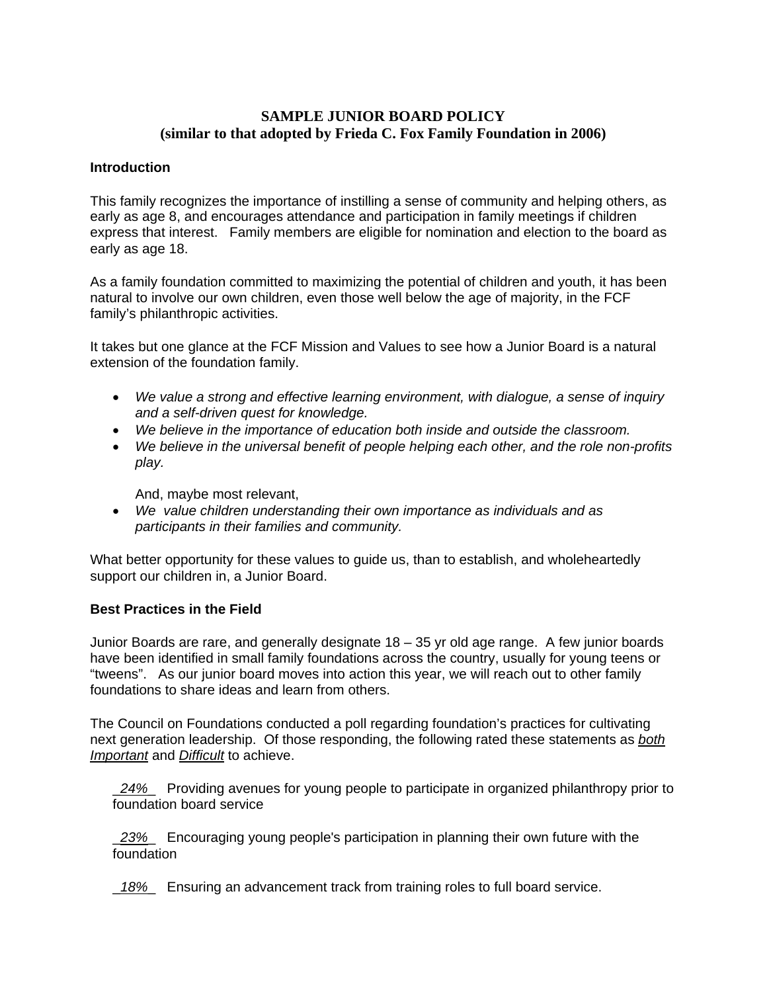## **SAMPLE JUNIOR BOARD POLICY (similar to that adopted by Frieda C. Fox Family Foundation in 2006)**

### **Introduction**

This family recognizes the importance of instilling a sense of community and helping others, as early as age 8, and encourages attendance and participation in family meetings if children express that interest. Family members are eligible for nomination and election to the board as early as age 18.

As a family foundation committed to maximizing the potential of children and youth, it has been natural to involve our own children, even those well below the age of majority, in the FCF family's philanthropic activities.

It takes but one glance at the FCF Mission and Values to see how a Junior Board is a natural extension of the foundation family.

- *We value a strong and effective learning environment, with dialogue, a sense of inquiry and a self-driven quest for knowledge.*
- *We believe in the importance of education both inside and outside the classroom.*
- *We believe in the universal benefit of people helping each other, and the role non-profits play.*

And, maybe most relevant,

• *We value children understanding their own importance as individuals and as participants in their families and community.* 

What better opportunity for these values to guide us, than to establish, and wholeheartedly support our children in, a Junior Board.

### **Best Practices in the Field**

Junior Boards are rare, and generally designate 18 – 35 yr old age range. A few junior boards have been identified in small family foundations across the country, usually for young teens or "tweens". As our junior board moves into action this year, we will reach out to other family foundations to share ideas and learn from others.

The Council on Foundations conducted a poll regarding foundation's practices for cultivating next generation leadership. Of those responding, the following rated these statements as *both Important* and *Difficult* to achieve.

\_*24%*\_ Providing avenues for young people to participate in organized philanthropy prior to foundation board service

\_*23%*\_ Encouraging young people's participation in planning their own future with the foundation

\_*18%*\_ Ensuring an advancement track from training roles to full board service.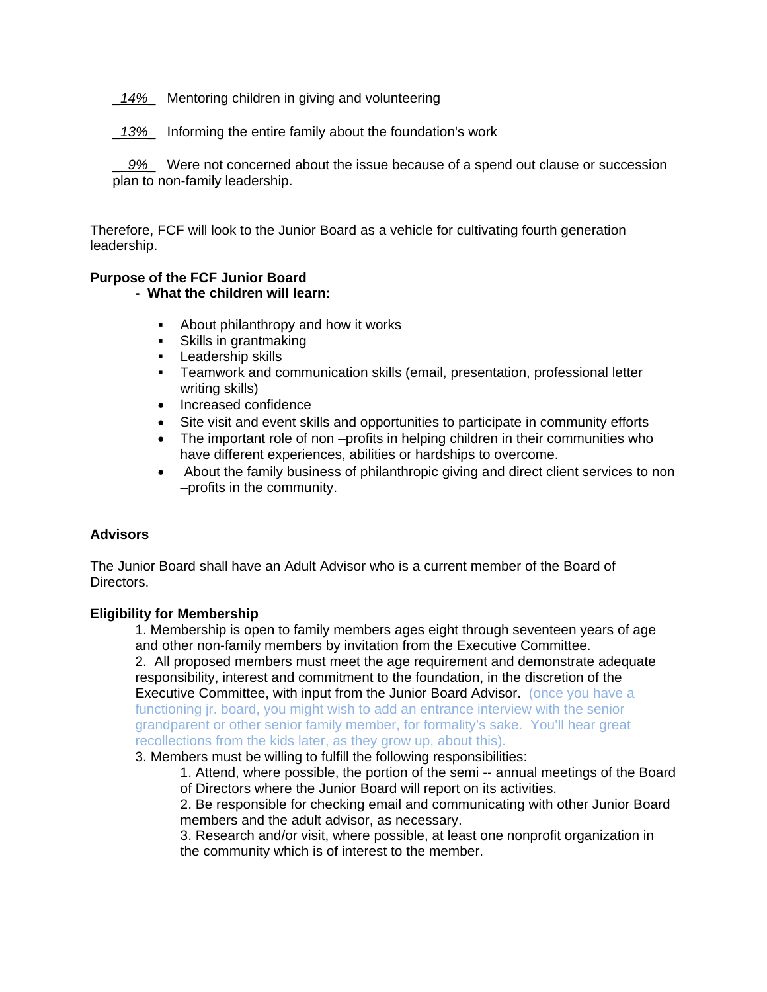- \_*14%*\_ Mentoring children in giving and volunteering
- \_*13%*\_ Informing the entire family about the foundation's work

\_ *9%*\_ Were not concerned about the issue because of a spend out clause or succession plan to non-family leadership.

Therefore, FCF will look to the Junior Board as a vehicle for cultivating fourth generation leadership.

# **Purpose of the FCF Junior Board**

## **- What the children will learn:**

- About philanthropy and how it works
- **Skills in grantmaking**
- **Leadership skills**
- Teamwork and communication skills (email, presentation, professional letter writing skills)
- Increased confidence
- Site visit and event skills and opportunities to participate in community efforts
- The important role of non –profits in helping children in their communities who have different experiences, abilities or hardships to overcome.
- About the family business of philanthropic giving and direct client services to non –profits in the community.

### **Advisors**

The Junior Board shall have an Adult Advisor who is a current member of the Board of Directors.

#### **Eligibility for Membership**

1. Membership is open to family members ages eight through seventeen years of age and other non-family members by invitation from the Executive Committee. 2. All proposed members must meet the age requirement and demonstrate adequate responsibility, interest and commitment to the foundation, in the discretion of the Executive Committee, with input from the Junior Board Advisor. (once you have a functioning jr. board, you might wish to add an entrance interview with the senior grandparent or other senior family member, for formality's sake. You'll hear great recollections from the kids later, as they grow up, about this).

3. Members must be willing to fulfill the following responsibilities:

- 1. Attend, where possible, the portion of the semi -- annual meetings of the Board of Directors where the Junior Board will report on its activities.
- 2. Be responsible for checking email and communicating with other Junior Board members and the adult advisor, as necessary.
- 3. Research and/or visit, where possible, at least one nonprofit organization in the community which is of interest to the member.